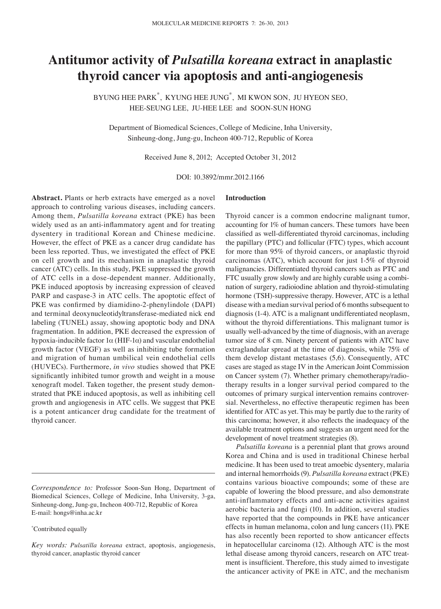# **Antitumor activity of** *Pulsatilla koreana* **extract in anaplastic thyroid cancer via apoptosis and anti-angiogenesis**

BYUNG HEE PARK\* , KYUNG HEE JUNG\* , MI KWON SON, JU HYEON SEO, HEE-SEUNG LEE, JU-HEE LEE and SOON-SUN HONG

Department of Biomedical Sciences, College of Medicine, Inha University, Sinheung-dong, Jung-gu, Incheon 400-712, Republic of Korea

Received June 8, 2012; Accepted October 31, 2012

DOI: 10.3892/mmr.2012.1166

**Abstract.** Plants or herb extracts have emerged as a novel approach to controling various diseases, including cancers. Among them, *Pulsatilla koreana* extract (PKE) has been widely used as an anti-inflammatory agent and for treating dysentery in traditional Korean and Chinese medicine. However, the effect of PKE as a cancer drug candidate has been less reported. Thus, we investigated the effect of PKE on cell growth and its mechanism in anaplastic thyroid cancer (ATC) cells. In this study, PKE suppressed the growth of ATC cells in a dose-dependent manner. Additionally, PKE induced apoptosis by increasing expression of cleaved PARP and caspase-3 in ATC cells. The apoptotic effect of PKE was confirmed by diamidino-2-phenylindole (DAPI) and terminal deoxynucleotidyltransferase-mediated nick end labeling (TUNEL) assay, showing apoptotic body and DNA fragmentation. In addition, PKE decreased the expression of hypoxia-inducible factor 1α (HIF-1α) and vascular endothelial growth factor (VEGF) as well as inhibiting tube formation and migration of human umbilical vein endothelial cells (HUVECs). Furthermore, *in vivo* studies showed that PKE significantly inhibited tumor growth and weight in a mouse xenograft model. Taken together, the present study demonstrated that PKE induced apoptosis, as well as inhibiting cell growth and angiogenesis in ATC cells. We suggest that PKE is a potent anticancer drug candidate for the treatment of thyroid cancer.

#### \* Contributed equally

### **Introduction**

Thyroid cancer is a common endocrine malignant tumor, accounting for 1% of human cancers. These tumors have been classified as well-differentiated thyroid carcinomas, including the papillary (PTC) and follicular (FTC) types, which account for more than 95% of thyroid cancers, or anaplastic thyroid carcinomas (ATC), which account for just 1-5% of thyroid malignancies. Differentiated thyroid cancers such as PTC and FTC usually grow slowly and are highly curable using a combination of surgery, radioiodine ablation and thyroid-stimulating hormone (TSH)-suppressive therapy. However, ATC is a lethal disease with a median survival period of 6 months subsequent to diagnosis (1-4). ATC is a malignant undifferentiated neoplasm, without the thyroid differentiations. This malignant tumor is usually well‑advanced by the time of diagnosis, with an average tumor size of 8 cm. Ninety percent of patients with ATC have extraglandular spread at the time of diagnosis, while 75% of them develop distant metastases (5,6). Consequently, ATC cases are staged as stage IV in the American Joint Commission on Cancer system (7). Whether primary chemotherapy/radiotherapy results in a longer survival period compared to the outcomes of primary surgical intervention remains controversial. Nevertheless, no effective therapeutic regimen has been identified for ATC as yet. This may be partly due to the rarity of this carcinoma; however, it also reflects the inadequacy of the available treatment options and suggests an urgent need for the development of novel treatment strategies (8).

*Pulsatilla koreana* is a perennial plant that grows around Korea and China and is used in traditional Chinese herbal medicine. It has been used to treat amoebic dysentery, malaria and internal hemorrhoids (9). *Pulsatilla koreana* extract (PKE) contains various bioactive compounds; some of these are capable of lowering the blood pressure, and also demonstrate anti-inflammatory effects and anti-acne activities against aerobic bacteria and fungi (10). In addition, several studies have reported that the compounds in PKE have anticancer effects in human melanoma, colon and lung cancers (11). PKE has also recently been reported to show anticancer effects in hepatocellular carcinoma (12). Although ATC is the most lethal disease among thyroid cancers, research on ATC treatment is insufficient. Therefore, this study aimed to investigate the anticancer activity of PKE in ATC, and the mechanism

*Correspondence to:* Professor Soon-Sun Hong, Department of Biomedical Sciences, College of Medicine, Inha University, 3-ga, Sinheung-dong, Jung-gu, Incheon 400-712, Republic of Korea E-mail: hongs@inha.ac.kr

*Key words: Pulsatilla koreana* extract, apoptosis, angiogenesis, thyroid cancer, anaplastic thyroid cancer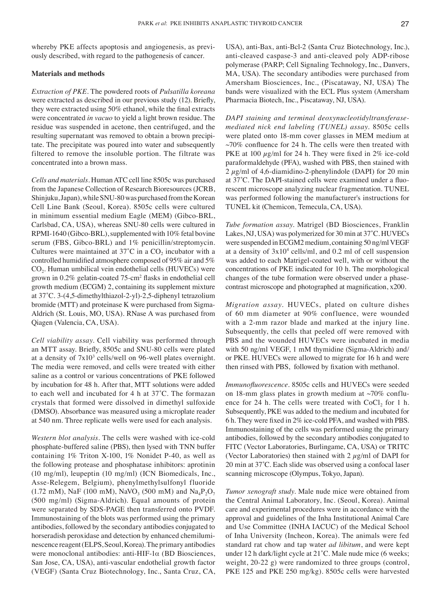whereby PKE affects apoptosis and angiogenesis, as previously described, with regard to the pathogenesis of cancer.

## **Materials and methods**

*Extraction of PKE.* The powdered roots of *Pulsatilla koreana* were extracted as described in our previous study (12). Briefly, they were extracted using 50% ethanol, while the final extracts were concentrated *in vacuo* to yield a light brown residue. The residue was suspended in acetone, then centrifuged, and the resulting supernatant was removed to obtain a brown precipitate. The precipitate was poured into water and subsequently filtered to remove the insoluble portion. The filtrate was concentrated into a brown mass.

*Cells and materials.* Human ATC cell line 8505c was purchased from the Japanese Collection of Research Bioresources (JCRB, Shinjuku, Japan), while SNU-80 was purchased from the Korean Cell Line Bank (Seoul, Korea). 8505c cells were cultured in minimum essential medium Eagle (MEM) (Gibco-BRL, Carlsbad, CA, USA), whereas SNU-80 cells were cultured in RPMI-1640 (Gibco-BRL), supplemented with 10% fetal bovine serum (FBS, Gibco-BRL) and 1% penicillin/streptomycin. Cultures were maintained at  $37^{\circ}$ C in a CO<sub>2</sub> incubator with a controlled humidified atmosphere composed of 95% air and 5% CO<sub>2</sub>. Human umbilical vein endothelial cells (HUVECs) were grown in 0.2% gelatin‑coated 75-cm<sup>2</sup> flasks in endothelial cell growth medium (ECGM) 2, containing its supplement mixture at 37˚C. 3-(4,5-dimethylthiazol-2-yl)‑2,5-diphenyl tetrazolium bromide (MTT) and proteinase K were purchased from Sigma-Aldrich (St. Louis, MO, USA). RNase A was purchased from Qiagen (Valencia, CA, USA).

*Cell viability assay.* Cell viability was performed through an MTT assay. Briefly, 8505c and SNU-80 cells were plated at a density of 7x10<sup>3</sup> cells/well on 96-well plates overnight. The media were removed, and cells were treated with either saline as a control or various concentrations of PKE followed by incubation for 48 h. After that, MTT solutions were added to each well and incubated for 4 h at 37˚C. The formazan crystals that formed were dissolved in dimethyl sulfoxide (DMSO). Absorbance was measured using a microplate reader at 540 nm. Three replicate wells were used for each analysis.

*Western blot analysis.* The cells were washed with ice-cold phosphate-buffered saline (PBS), then lysed with TNN buffer containing 1% Triton X-100, 1% Nonidet P-40, as well as the following protease and phosphatase inhibitors: aprotinin (10 mg/ml), leupeptin (10 mg/ml) (ICN Biomedicals, Inc., Asse‑Relegem, Belgium), phenylmethylsulfonyl fluoride (1.72 mM), NaF (100 mM), NaVO<sub>3</sub> (500 mM) and Na<sub>4</sub>P<sub>2</sub>O<sub>7</sub> (500 mg/ml) (Sigma-Aldrich). Equal amounts of protein were separated by SDS-PAGE then transferred onto PVDF. Immunostaining of the blots was performed using the primary antibodies, followed by the secondary antibodies conjugated to horseradish peroxidase and detection by enhanced chemiluminescence reagent (ELPS, Seoul, Korea). The primary antibodies were monoclonal antibodies: anti-HIF-1α (BD Biosciences, San Jose, CA, USA), anti-vascular endothelial growth factor (VEGF) (Santa Cruz Biotechnology, Inc., Santa Cruz, CA, USA), anti-Bax, anti-Bcl-2 (Santa Cruz Biotechnology, Inc.), anti-cleaved caspase-3 and anti-cleaved poly ADP-ribose polymerase (PARP; Cell Signaling Technology, Inc., Danvers, MA, USA). The secondary antibodies were purchased from Amersham Biosciences, Inc., (Piscataway, NJ, USA) The bands were visualized with the ECL Plus system (Amersham Pharmacia Biotech, Inc., Piscataway, NJ, USA).

*DAPI staining and terminal deoxynucleotidyltransferasemediated nick end labeling (TUNEL) assay.* 8505c cells were plated onto 18-mm cover glasses in MEM medium at  $~10\%$  confluence for 24 h. The cells were then treated with PKE at 100  $\mu$ g/ml for 24 h. They were fixed in 2% ice-cold paraformaldehyde (PFA), washed with PBS, then stained with 2  $\mu$ g/ml of 4,6-diamidino-2-phenylindole (DAPI) for 20 min at 37°C. The DAPI-stained cells were examined under a fluorescent microscope analyzing nuclear fragmentation. TUNEL was performed following the manufacturer's instructions for TUNEL kit (Chemicon, Temecula, CA, USA).

*Tube formation assay.* Matrigel (BD Biosciences, Franklin Lakes, NJ, USA) was polymerized for 30 min at 37˚C. HUVECs were suspended in ECGM2 medium, containing 50 ng/ml VEGF at a density of  $3x10^4$  cells/ml, and 0.2 ml of cell suspension was added to each Matrigel-coated well, with or without the concentrations of PKE indicated for 10 h. The morphological changes of the tube formation were observed under a phasecontrast microscope and photographed at magnification, x200.

*Migration assay.* HUVECs, plated on culture dishes of 60 mm diameter at 90% confluence, were wounded with a 2-mm razor blade and marked at the injury line. Subsequently, the cells that peeled off were removed with PBS and the wounded HUVECs were incubated in media with 50 ng/ml VEGF, 1 mM thymidine (Sigma-Aldrich) and/ or PKE. HUVECs were allowed to migrate for 16 h and were then rinsed with PBS, followed by fixation with methanol.

*Immunofluorescence.* 8505c cells and HUVECs were seeded on 18-mm glass plates in growth medium at  $\sim$ 70% confluence for 24 h. The cells were treated with  $CoCl<sub>2</sub>$  for 1 h. Subsequently, PKE was added to the medium and incubated for 6 h. They were fixed in 2% ice-cold PFA, and washed with PBS. Immunostaining of the cells was performed using the primary antibodies, followed by the secondary antibodies conjugated to FITC (Vector Laboratories, Burlingame, CA, USA) or TRITC (Vector Laboratories) then stained with 2  $\mu$ g/ml of DAPI for 20 min at 37˚C. Each slide was observed using a confocal laser scanning microscope (Olympus, Tokyo, Japan).

*Tumor xenograft study.* Male nude mice were obtained from the Central Animal Laboratory, Inc. (Seoul, Korea). Animal care and experimental procedures were in accordance with the approval and guidelines of the Inha Institutional Animal Care and Use Committee (INHA IACUC) of the Medical School of Inha University (Incheon, Korea). The animals were fed standard rat chow and tap water *ad libitum*, and were kept under 12 h dark/light cycle at 21°C. Male nude mice (6 weeks; weight, 20-22 g) were randomized to three groups (control, PKE 125 and PKE 250 mg/kg). 8505c cells were harvested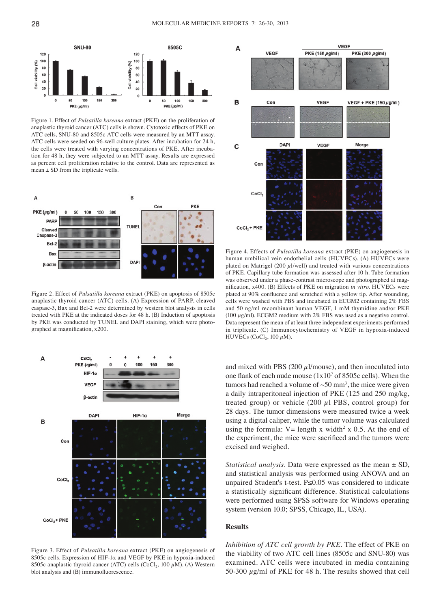

Figure 1. Effect of *Pulsatilla koreana* extract (PKE) on the proliferation of anaplastic thyroid cancer (ATC) cells is shown. Cytotoxic effects of PKE on ATC cells, SNU-80 and 8505c ATC cells were measured by an MTT assay. ATC cells were seeded on 96-well culture plates. After incubation for 24 h, the cells were treated with varying concentrations of PKE. After incubation for 48 h, they were subjected to an MTT assay. Results are expressed as percent cell proliferation relative to the control. Data are represented as mean  $\pm$  SD from the triplicate wells.



Figure 2. Effect of *Pulsatilla koreana* extract (PKE) on apoptosis of 8505c anaplastic thyroid cancer (ATC) cells. (A) Expression of PARP, cleaved caspase-3, Bax and Bcl-2 were determined by western blot analysis in cells treated with PKE at the indicated doses for 48 h. (B) Induction of apoptosis by PKE was conducted by TUNEL and DAPI staining, which were photographed at magnification, x200.



Figure 3. Effect of *Pulsatilla koreana* extract (PKE) on angiogenesis of 8505c cells. Expression of HIF-1α and VEGF by PKE in hypoxia-induced 8505c anaplastic thyroid cancer (ATC) cells (CoCl<sub>2</sub>, 100  $\mu$ M). (A) Western blot analysis and (B) immunofluorescence.



Figure 4. Effects of *Pulsatilla koreana* extract (PKE) on angiogenesis in human umbilical vein endothelial cells (HUVECs). (A) HUVECs were plated on Matrigel (200  $\mu$ 1/well) and treated with various concentrations of PKE. Capillary tube formation was assessed after 10 h. Tube formation was observed under a phase-contrast microscope and photographed at magnification, x400. (B) Effects of PKE on migration *in vitro*. HUVECs were plated at 90% confluence and scratched with a yellow tip. After wounding, cells were washed with PBS and incubated in ECGM2 containing 2% FBS and 50 ng/ml recombinant human VEGF, 1 mM thymidine and/or PKE (100  $\mu$ g/ml). ECGM2 medium with 2% FBS was used as a negative control. Data represent the mean of at least three independent experiments performed in triplicate. (C) Immunocytochemistry of VEGF in hypoxia-induced HUVECs (CoCl<sub>2</sub>, 100  $\mu$ M).

and mixed with PBS (200  $\mu$ 1/mouse), and then inoculated into one flank of each nude mouse  $(1x10<sup>7</sup>$  of 8505c cells). When the tumors had reached a volume of  $\sim 50$  mm<sup>3</sup>, the mice were given a daily intraperitoneal injection of PKE (125 and 250 mg/kg, treated group) or vehicle  $(200 \mu 1$  PBS, control group) for 28 days. The tumor dimensions were measured twice a week using a digital caliper, while the tumor volume was calculated using the formula:  $V =$  length x width<sup>2</sup> x 0.5. At the end of the experiment, the mice were sacrificed and the tumors were excised and weighed.

*Statistical analysis.* Data were expressed as the mean ± SD, and statistical analysis was performed using ANOVA and an unpaired Student's t-test. P≤0.05 was considered to indicate a statistically significant difference. Statistical calculations were performed using SPSS software for Windows operating system (version 10.0; SPSS, Chicago, IL, USA).

#### **Results**

*Inhibition of ATC cell growth by PKE.* The effect of PKE on the viability of two ATC cell lines (8505c and SNU-80) was examined. ATC cells were incubated in media containing 50-300  $\mu$ g/ml of PKE for 48 h. The results showed that cell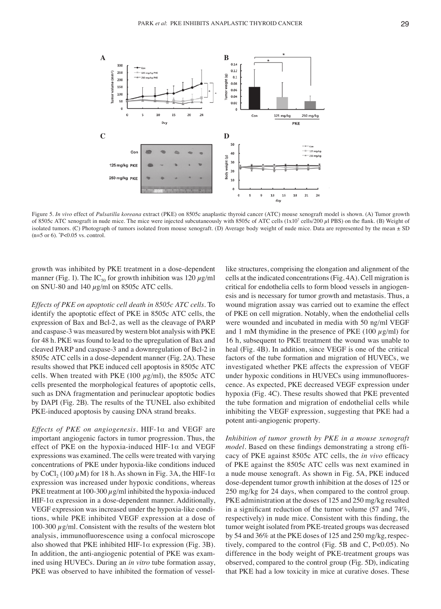

Figure 5. *In vivo* effect of *Pulsatilla koreana* extract (PKE) on 8505c anaplastic thyroid cancer (ATC) mouse xenograft model is shown. (A) Tumor growth of 8505c ATC xenograft in nude mice. The mice were injected subcutaneously with 8505c of ATC cells (1x10<sup>7</sup> cells/200 µl PBS) on the flank. (B) Weight of isolated tumors. (C) Photograph of tumors isolated from mouse xenograft. (D) Average body weight of nude mice. Data are represented by the mean  $\pm$  SD (n=5 or 6). \* P<0.05 vs. control.

growth was inhibited by PKE treatment in a dose-dependent manner (Fig. 1). The IC<sub>50</sub> for growth inhibition was 120  $\mu$ g/ml on SNU-80 and 140  $\mu$ g/ml on 8505c ATC cells.

*Effects of PKE on apoptotic cell death in 8505c ATC cells.* To identify the apoptotic effect of PKE in 8505c ATC cells, the expression of Bax and Bcl-2, as well as the cleavage of PARP and caspase-3 was measured by western blot analysis with PKE for 48 h. PKE was found to lead to the upregulation of Bax and cleaved PARP and caspase-3 and a downregulation of Bcl-2 in 8505c ATC cells in a dose-dependent manner (Fig. 2A). These results showed that PKE induced cell apoptosis in 8505c ATC cells. When treated with PKE (100  $\mu$ g/ml), the 8505c ATC cells presented the morphological features of apoptotic cells, such as DNA fragmentation and perinuclear apoptotic bodies by DAPI (Fig. 2B). The results of the TUNEL also exhibited PKE-induced apoptosis by causing DNA strand breaks.

*Effects of PKE on angiogenesis.* HIF-1α and VEGF are important angiogenic factors in tumor progression. Thus, the effect of PKE on the hypoxia-induced HIF-1 $\alpha$  and VEGF expressions was examined. The cells were treated with varying concentrations of PKE under hypoxia‑like conditions induced by CoCl<sub>2</sub> (100  $\mu$ M) for 18 h. As shown in Fig. 3A, the HIF-1 $\alpha$ expression was increased under hypoxic conditions, whereas PKE treatment at 100-300  $\mu$ g/ml inhibited the hypoxia-induced HIF-1 $\alpha$  expression in a dose-dependent manner. Additionally, VEGF expression was increased under the hypoxia‑like conditions, while PKE inhibited VEGF expression at a dose of 100-300  $\mu$ g/ml. Consistent with the results of the western blot analysis, immunofluorescence using a confocal microscope also showed that PKE inhibited HIF-1 $\alpha$  expression (Fig. 3B). In addition, the anti-angiogenic potential of PKE was examined using HUVECs. During an *in vitro* tube formation assay, PKE was observed to have inhibited the formation of vessellike structures, comprising the elongation and alignment of the cells at the indicated concentrations (Fig. 4A). Cell migration is critical for endothelia cells to form blood vessels in angiogenesis and is necessary for tumor growth and metastasis. Thus, a wound migration assay was carried out to examine the effect of PKE on cell migration. Notably, when the endothelial cells were wounded and incubated in media with 50 ng/ml VEGF and 1 mM thymidine in the presence of PKE (100  $\mu$ g/ml) for 16 h, subsequent to PKE treatment the wound was unable to heal (Fig. 4B). In addition, since VEGF is one of the critical factors of the tube formation and migration of HUVECs, we investigated whether PKE affects the expression of VEGF under hypoxic conditions in HUVECs using immunofluorescence. As expected, PKE decreased VEGF expression under hypoxia (Fig. 4C). These results showed that PKE prevented the tube formation and migration of endothelial cells while inhibiting the VEGF expression, suggesting that PKE had a potent anti-angiogenic property.

*Inhibition of tumor growth by PKE in a mouse xenograft model.* Based on these findings demonstrating a strong efficacy of PKE against 8505c ATC cells, the *in vivo* efficacy of PKE against the 8505c ATC cells was next examined in a nude mouse xenograft. As shown in Fig. 5A, PKE induced dose-dependent tumor growth inhibition at the doses of 125 or 250 mg/kg for 24 days, when compared to the control group. PKE administration at the doses of 125 and 250 mg/kg resulted in a significant reduction of the tumor volume (57 and 74%, respectively) in nude mice. Consistent with this finding, the tumor weight isolated from PKE-treated groups was decreased by 54 and 36% at the PKE doses of 125 and 250 mg/kg, respectively, compared to the control (Fig. 5B and C, P<0.05). No difference in the body weight of PKE‑treatment groups was observed, compared to the control group (Fig. 5D), indicating that PKE had a low toxicity in mice at curative doses. These